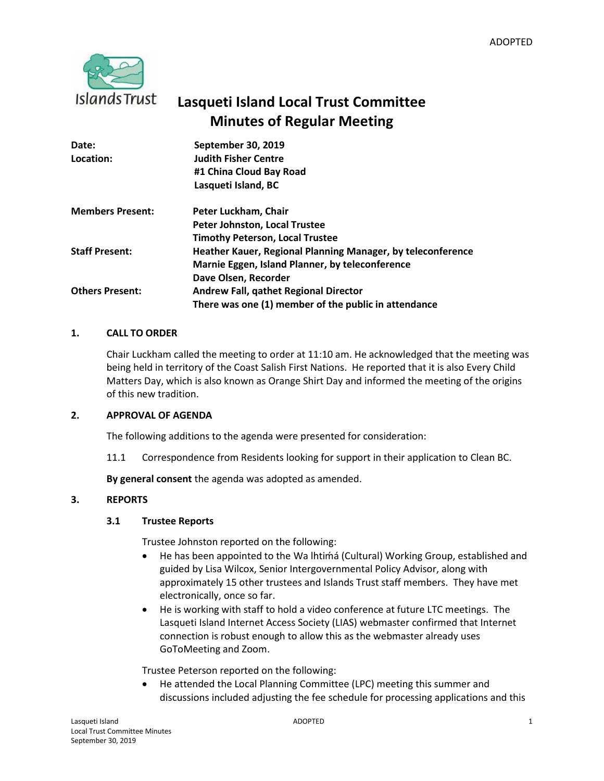

# **Lasqueti Island Local Trust Committee Minutes of Regular Meeting**

| Date:                   | September 30, 2019                                          |
|-------------------------|-------------------------------------------------------------|
| Location:               | <b>Judith Fisher Centre</b>                                 |
|                         | #1 China Cloud Bay Road                                     |
|                         | Lasqueti Island, BC                                         |
| <b>Members Present:</b> | Peter Luckham, Chair                                        |
|                         | Peter Johnston, Local Trustee                               |
|                         | <b>Timothy Peterson, Local Trustee</b>                      |
| <b>Staff Present:</b>   | Heather Kauer, Regional Planning Manager, by teleconference |
|                         | Marnie Eggen, Island Planner, by teleconference             |
|                         | Dave Olsen, Recorder                                        |
| <b>Others Present:</b>  | <b>Andrew Fall, gathet Regional Director</b>                |
|                         | There was one (1) member of the public in attendance        |

## **1. CALL TO ORDER**

Chair Luckham called the meeting to order at 11:10 am. He acknowledged that the meeting was being held in territory of the Coast Salish First Nations. He reported that it is also Every Child Matters Day, which is also known as Orange Shirt Day and informed the meeting of the origins of this new tradition.

## **2. APPROVAL OF AGENDA**

The following additions to the agenda were presented for consideration:

11.1 Correspondence from Residents looking for support in their application to Clean BC.

**By general consent** the agenda was adopted as amended.

## **3. REPORTS**

## **3.1 Trustee Reports**

Trustee Johnston reported on the following:

- He has been appointed to the Wa lhtima (Cultural) Working Group, established and guided by Lisa Wilcox, Senior Intergovernmental Policy Advisor, along with approximately 15 other trustees and Islands Trust staff members. They have met electronically, once so far.
- He is working with staff to hold a video conference at future LTC meetings. The Lasqueti Island Internet Access Society (LIAS) webmaster confirmed that Internet connection is robust enough to allow this as the webmaster already uses GoToMeeting and Zoom.

Trustee Peterson reported on the following:

• He attended the Local Planning Committee (LPC) meeting this summer and discussions included adjusting the fee schedule for processing applications and this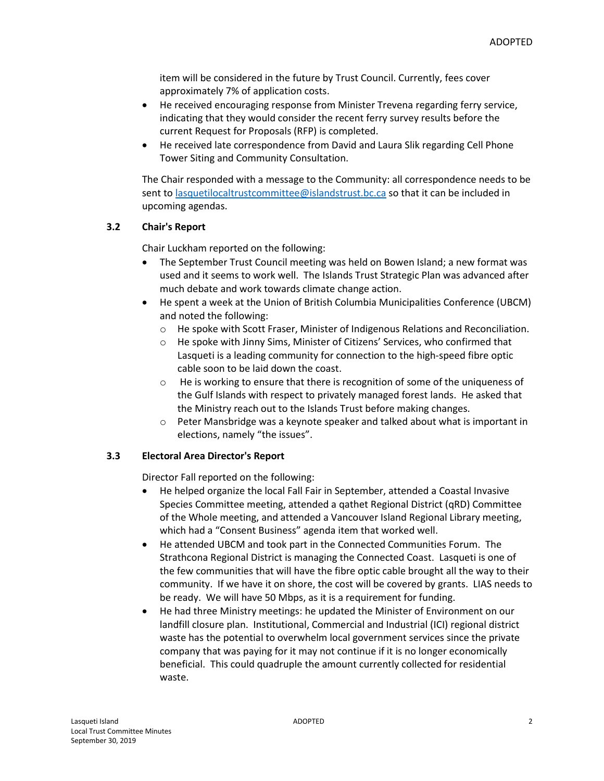item will be considered in the future by Trust Council. Currently, fees cover approximately 7% of application costs.

- He received encouraging response from Minister Trevena regarding ferry service, indicating that they would consider the recent ferry survey results before the current Request for Proposals (RFP) is completed.
- He received late correspondence from David and Laura Slik regarding Cell Phone Tower Siting and Community Consultation.

The Chair responded with a message to the Community: all correspondence needs to be sent to [lasquetilocaltrustcommittee@islandstrust.bc.ca](mailto:lasquetilocaltrustcommittee@islandstrust.bc.ca) so that it can be included in upcoming agendas.

## **3.2 Chair's Report**

Chair Luckham reported on the following:

- The September Trust Council meeting was held on Bowen Island; a new format was used and it seems to work well. The Islands Trust Strategic Plan was advanced after much debate and work towards climate change action.
- He spent a week at the Union of British Columbia Municipalities Conference (UBCM) and noted the following:
	- o He spoke with Scott Fraser, Minister of Indigenous Relations and Reconciliation.
	- o He spoke with Jinny Sims, Minister of Citizens' Services, who confirmed that Lasqueti is a leading community for connection to the high-speed fibre optic cable soon to be laid down the coast.
	- o He is working to ensure that there is recognition of some of the uniqueness of the Gulf Islands with respect to privately managed forest lands. He asked that the Ministry reach out to the Islands Trust before making changes.
	- o Peter Mansbridge was a keynote speaker and talked about what is important in elections, namely "the issues".

# **3.3 Electoral Area Director's Report**

Director Fall reported on the following:

- He helped organize the local Fall Fair in September, attended a Coastal Invasive Species Committee meeting, attended a qathet Regional District (qRD) Committee of the Whole meeting, and attended a Vancouver Island Regional Library meeting, which had a "Consent Business" agenda item that worked well.
- He attended UBCM and took part in the Connected Communities Forum. The Strathcona Regional District is managing the Connected Coast. Lasqueti is one of the few communities that will have the fibre optic cable brought all the way to their community. If we have it on shore, the cost will be covered by grants. LIAS needs to be ready. We will have 50 Mbps, as it is a requirement for funding.
- He had three Ministry meetings: he updated the Minister of Environment on our landfill closure plan. Institutional, Commercial and Industrial (ICI) regional district waste has the potential to overwhelm local government services since the private company that was paying for it may not continue if it is no longer economically beneficial. This could quadruple the amount currently collected for residential waste.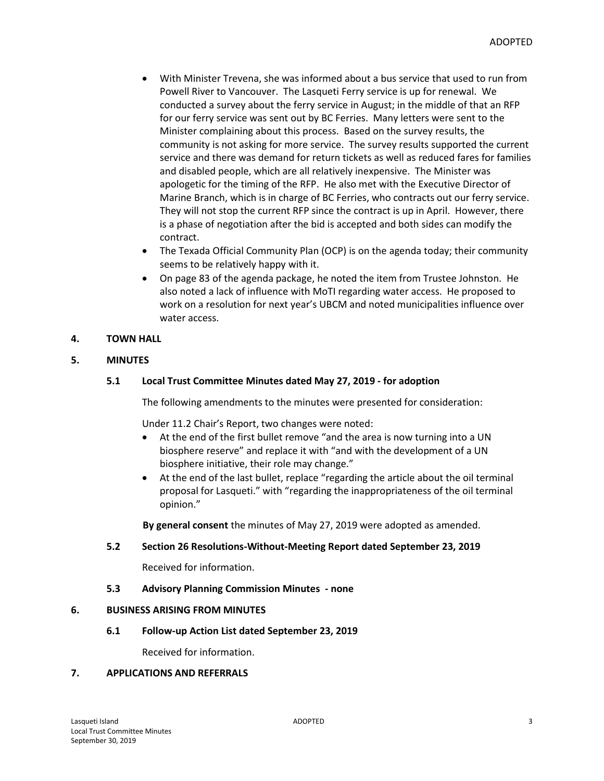- With Minister Trevena, she was informed about a bus service that used to run from Powell River to Vancouver. The Lasqueti Ferry service is up for renewal. We conducted a survey about the ferry service in August; in the middle of that an RFP for our ferry service was sent out by BC Ferries. Many letters were sent to the Minister complaining about this process. Based on the survey results, the community is not asking for more service. The survey results supported the current service and there was demand for return tickets as well as reduced fares for families and disabled people, which are all relatively inexpensive. The Minister was apologetic for the timing of the RFP. He also met with the Executive Director of Marine Branch, which is in charge of BC Ferries, who contracts out our ferry service. They will not stop the current RFP since the contract is up in April. However, there is a phase of negotiation after the bid is accepted and both sides can modify the contract.
- The Texada Official Community Plan (OCP) is on the agenda today; their community seems to be relatively happy with it.
- On page 83 of the agenda package, he noted the item from Trustee Johnston. He also noted a lack of influence with MoTI regarding water access. He proposed to work on a resolution for next year's UBCM and noted municipalities influence over water access.

## **4. TOWN HALL**

## **5. MINUTES**

## **5.1 Local Trust Committee Minutes dated May 27, 2019 - for adoption**

The following amendments to the minutes were presented for consideration:

Under 11.2 Chair's Report, two changes were noted:

- At the end of the first bullet remove "and the area is now turning into a UN biosphere reserve" and replace it with "and with the development of a UN biosphere initiative, their role may change."
- At the end of the last bullet, replace "regarding the article about the oil terminal proposal for Lasqueti." with "regarding the inappropriateness of the oil terminal opinion."

**By general consent** the minutes of May 27, 2019 were adopted as amended.

## **5.2 Section 26 Resolutions-Without-Meeting Report dated September 23, 2019**

Received for information.

## **5.3 Advisory Planning Commission Minutes - none**

#### **6. BUSINESS ARISING FROM MINUTES**

**6.1 Follow-up Action List dated September 23, 2019**

Received for information.

## **7. APPLICATIONS AND REFERRALS**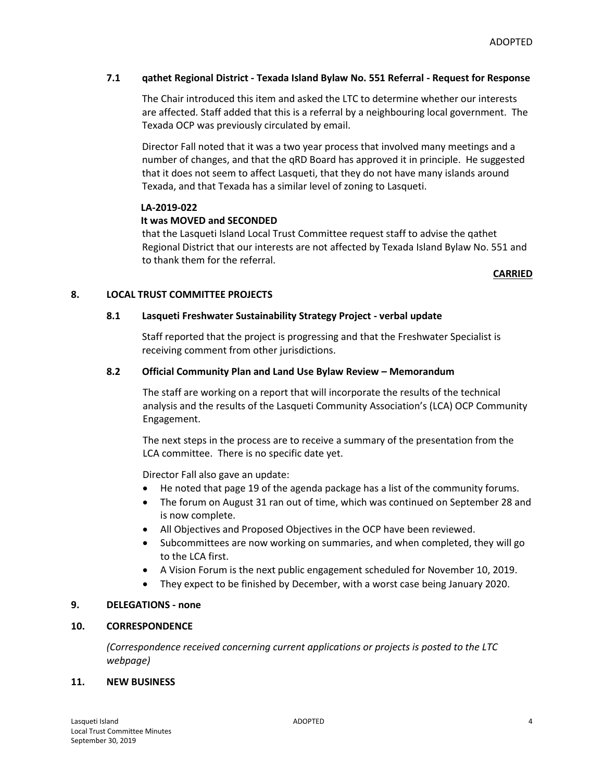## **7.1 qathet Regional District - Texada Island Bylaw No. 551 Referral - Request for Response**

The Chair introduced this item and asked the LTC to determine whether our interests are affected. Staff added that this is a referral by a neighbouring local government. The Texada OCP was previously circulated by email.

Director Fall noted that it was a two year process that involved many meetings and a number of changes, and that the qRD Board has approved it in principle. He suggested that it does not seem to affect Lasqueti, that they do not have many islands around Texada, and that Texada has a similar level of zoning to Lasqueti.

## **LA-2019-022**

## **It was MOVED and SECONDED**

that the Lasqueti Island Local Trust Committee request staff to advise the qathet Regional District that our interests are not affected by Texada Island Bylaw No. 551 and to thank them for the referral.

#### **CARRIED**

## **8. LOCAL TRUST COMMITTEE PROJECTS**

## **8.1 Lasqueti Freshwater Sustainability Strategy Project - verbal update**

Staff reported that the project is progressing and that the Freshwater Specialist is receiving comment from other jurisdictions.

## **8.2 Official Community Plan and Land Use Bylaw Review – Memorandum**

The staff are working on a report that will incorporate the results of the technical analysis and the results of the Lasqueti Community Association's (LCA) OCP Community Engagement.

The next steps in the process are to receive a summary of the presentation from the LCA committee. There is no specific date yet.

Director Fall also gave an update:

- He noted that page 19 of the agenda package has a list of the community forums.
- The forum on August 31 ran out of time, which was continued on September 28 and is now complete.
- All Objectives and Proposed Objectives in the OCP have been reviewed.
- Subcommittees are now working on summaries, and when completed, they will go to the LCA first.
- A Vision Forum is the next public engagement scheduled for November 10, 2019.
- They expect to be finished by December, with a worst case being January 2020.

## **9. DELEGATIONS - none**

## **10. CORRESPONDENCE**

*(Correspondence received concerning current applications or projects is posted to the LTC webpage)*

## **11. NEW BUSINESS**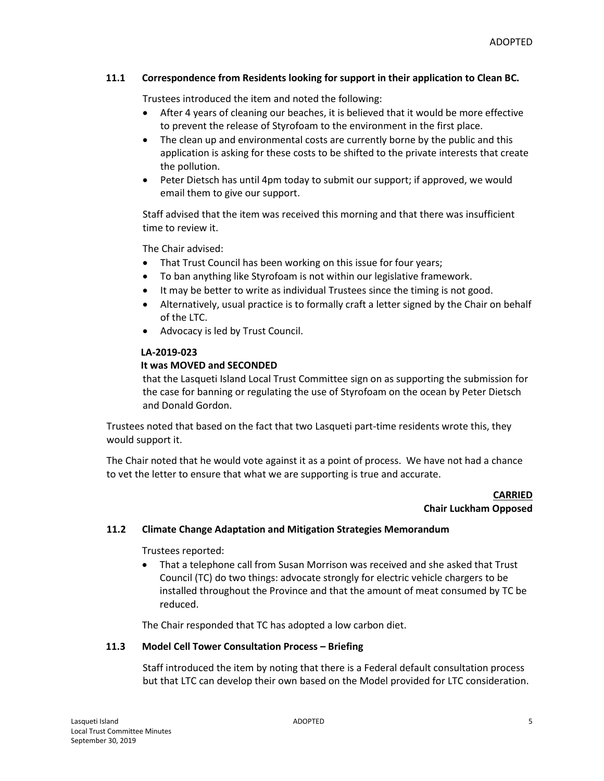## **11.1 Correspondence from Residents looking for support in their application to Clean BC.**

Trustees introduced the item and noted the following:

- After 4 years of cleaning our beaches, it is believed that it would be more effective to prevent the release of Styrofoam to the environment in the first place.
- The clean up and environmental costs are currently borne by the public and this application is asking for these costs to be shifted to the private interests that create the pollution.
- Peter Dietsch has until 4pm today to submit our support; if approved, we would email them to give our support.

Staff advised that the item was received this morning and that there was insufficient time to review it.

The Chair advised:

- That Trust Council has been working on this issue for four years;
- To ban anything like Styrofoam is not within our legislative framework.
- It may be better to write as individual Trustees since the timing is not good.
- Alternatively, usual practice is to formally craft a letter signed by the Chair on behalf of the LTC.
- Advocacy is led by Trust Council.

## **LA-2019-023**

## **It was MOVED and SECONDED**

that the Lasqueti Island Local Trust Committee sign on as supporting the submission for the case for banning or regulating the use of Styrofoam on the ocean by Peter Dietsch and Donald Gordon.

Trustees noted that based on the fact that two Lasqueti part-time residents wrote this, they would support it.

The Chair noted that he would vote against it as a point of process. We have not had a chance to vet the letter to ensure that what we are supporting is true and accurate.

#### **CARRIED Chair Luckham Opposed**

## **11.2 Climate Change Adaptation and Mitigation Strategies Memorandum**

Trustees reported:

 That a telephone call from Susan Morrison was received and she asked that Trust Council (TC) do two things: advocate strongly for electric vehicle chargers to be installed throughout the Province and that the amount of meat consumed by TC be reduced.

The Chair responded that TC has adopted a low carbon diet.

## **11.3 Model Cell Tower Consultation Process – Briefing**

Staff introduced the item by noting that there is a Federal default consultation process but that LTC can develop their own based on the Model provided for LTC consideration.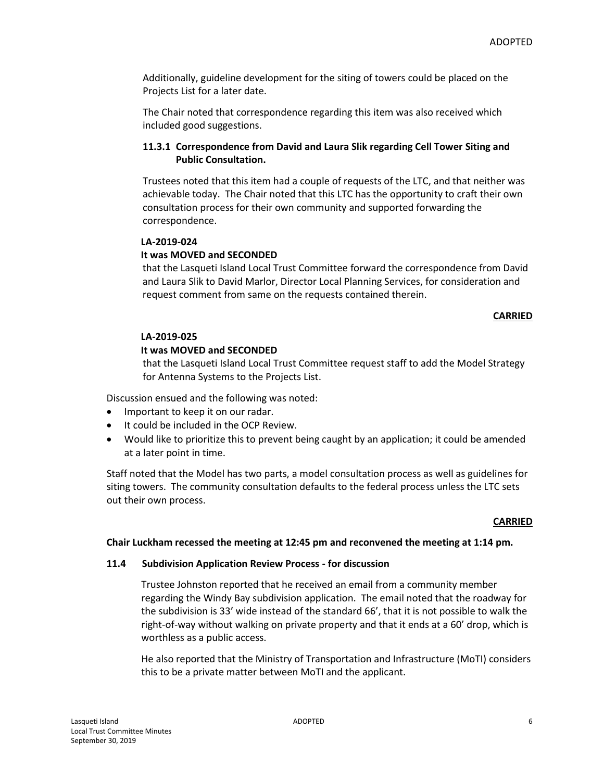Additionally, guideline development for the siting of towers could be placed on the Projects List for a later date.

The Chair noted that correspondence regarding this item was also received which included good suggestions.

# **11.3.1 Correspondence from David and Laura Slik regarding Cell Tower Siting and Public Consultation.**

Trustees noted that this item had a couple of requests of the LTC, and that neither was achievable today. The Chair noted that this LTC has the opportunity to craft their own consultation process for their own community and supported forwarding the correspondence.

## **LA-2019-024**

## **It was MOVED and SECONDED**

that the Lasqueti Island Local Trust Committee forward the correspondence from David and Laura Slik to David Marlor, Director Local Planning Services, for consideration and request comment from same on the requests contained therein.

## **CARRIED**

#### **LA-2019-025**

## **It was MOVED and SECONDED**

that the Lasqueti Island Local Trust Committee request staff to add the Model Strategy for Antenna Systems to the Projects List.

Discussion ensued and the following was noted:

- Important to keep it on our radar.
- $\bullet$  It could be included in the OCP Review.
- Would like to prioritize this to prevent being caught by an application; it could be amended at a later point in time.

Staff noted that the Model has two parts, a model consultation process as well as guidelines for siting towers. The community consultation defaults to the federal process unless the LTC sets out their own process.

#### **CARRIED**

## **Chair Luckham recessed the meeting at 12:45 pm and reconvened the meeting at 1:14 pm.**

## **11.4 Subdivision Application Review Process - for discussion**

Trustee Johnston reported that he received an email from a community member regarding the Windy Bay subdivision application. The email noted that the roadway for the subdivision is 33' wide instead of the standard 66', that it is not possible to walk the right-of-way without walking on private property and that it ends at a 60' drop, which is worthless as a public access.

He also reported that the Ministry of Transportation and Infrastructure (MoTI) considers this to be a private matter between MoTI and the applicant.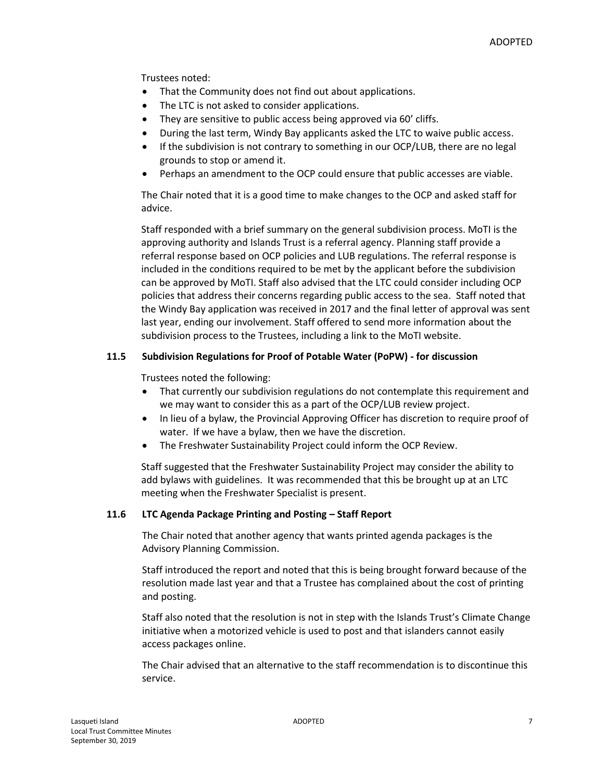Trustees noted:

- That the Community does not find out about applications.
- The LTC is not asked to consider applications.
- They are sensitive to public access being approved via 60' cliffs.
- During the last term, Windy Bay applicants asked the LTC to waive public access.
- If the subdivision is not contrary to something in our OCP/LUB, there are no legal grounds to stop or amend it.
- Perhaps an amendment to the OCP could ensure that public accesses are viable.

The Chair noted that it is a good time to make changes to the OCP and asked staff for advice.

Staff responded with a brief summary on the general subdivision process. MoTI is the approving authority and Islands Trust is a referral agency. Planning staff provide a referral response based on OCP policies and LUB regulations. The referral response is included in the conditions required to be met by the applicant before the subdivision can be approved by MoTI. Staff also advised that the LTC could consider including OCP policies that address their concerns regarding public access to the sea. Staff noted that the Windy Bay application was received in 2017 and the final letter of approval was sent last year, ending our involvement. Staff offered to send more information about the subdivision process to the Trustees, including a link to the MoTI website.

## **11.5 Subdivision Regulations for Proof of Potable Water (PoPW) - for discussion**

Trustees noted the following:

- That currently our subdivision regulations do not contemplate this requirement and we may want to consider this as a part of the OCP/LUB review project.
- In lieu of a bylaw, the Provincial Approving Officer has discretion to require proof of water. If we have a bylaw, then we have the discretion.
- The Freshwater Sustainability Project could inform the OCP Review.

Staff suggested that the Freshwater Sustainability Project may consider the ability to add bylaws with guidelines. It was recommended that this be brought up at an LTC meeting when the Freshwater Specialist is present.

## **11.6 LTC Agenda Package Printing and Posting – Staff Report**

The Chair noted that another agency that wants printed agenda packages is the Advisory Planning Commission.

Staff introduced the report and noted that this is being brought forward because of the resolution made last year and that a Trustee has complained about the cost of printing and posting.

Staff also noted that the resolution is not in step with the Islands Trust's Climate Change initiative when a motorized vehicle is used to post and that islanders cannot easily access packages online.

The Chair advised that an alternative to the staff recommendation is to discontinue this service.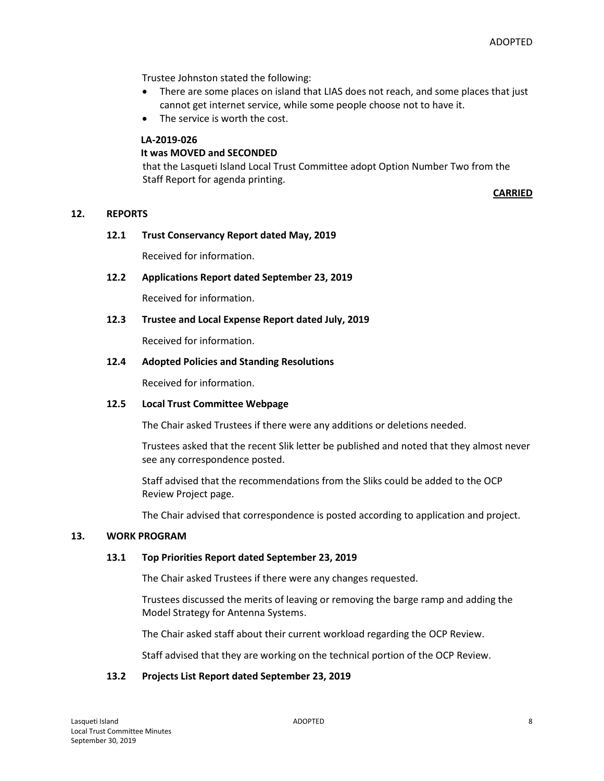Trustee Johnston stated the following:

- There are some places on island that LIAS does not reach, and some places that just cannot get internet service, while some people choose not to have it.
- The service is worth the cost.

#### **LA-2019-026**

#### **It was MOVED and SECONDED**

that the Lasqueti Island Local Trust Committee adopt Option Number Two from the Staff Report for agenda printing.

**CARRIED**

#### **12. REPORTS**

#### **12.1 Trust Conservancy Report dated May, 2019**

Received for information.

**12.2 Applications Report dated September 23, 2019**

Received for information.

**12.3 Trustee and Local Expense Report dated July, 2019**

Received for information.

#### **12.4 Adopted Policies and Standing Resolutions**

Received for information.

#### **12.5 Local Trust Committee Webpage**

The Chair asked Trustees if there were any additions or deletions needed.

Trustees asked that the recent Slik letter be published and noted that they almost never see any correspondence posted.

Staff advised that the recommendations from the Sliks could be added to the OCP Review Project page.

The Chair advised that correspondence is posted according to application and project.

#### **13. WORK PROGRAM**

#### **13.1 Top Priorities Report dated September 23, 2019**

The Chair asked Trustees if there were any changes requested.

Trustees discussed the merits of leaving or removing the barge ramp and adding the Model Strategy for Antenna Systems.

The Chair asked staff about their current workload regarding the OCP Review.

Staff advised that they are working on the technical portion of the OCP Review.

#### **13.2 Projects List Report dated September 23, 2019**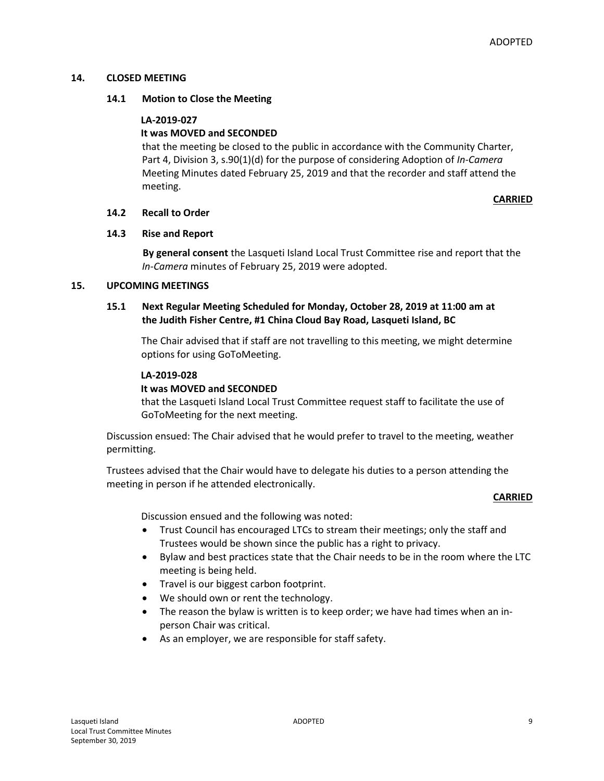#### **14. CLOSED MEETING**

#### **14.1 Motion to Close the Meeting**

#### **LA-2019-027**

## **It was MOVED and SECONDED**

that the meeting be closed to the public in accordance with the Community Charter, Part 4, Division 3, s.90(1)(d) for the purpose of considering Adoption of *In-Camera* Meeting Minutes dated February 25, 2019 and that the recorder and staff attend the meeting.

#### **CARRIED**

#### **14.2 Recall to Order**

## **14.3 Rise and Report**

**By general consent** the Lasqueti Island Local Trust Committee rise and report that the *In-Camera* minutes of February 25, 2019 were adopted.

#### **15. UPCOMING MEETINGS**

## **15.1 Next Regular Meeting Scheduled for Monday, October 28, 2019 at 11:00 am at the Judith Fisher Centre, #1 China Cloud Bay Road, Lasqueti Island, BC**

The Chair advised that if staff are not travelling to this meeting, we might determine options for using GoToMeeting.

#### **LA-2019-028**

## **It was MOVED and SECONDED**

that the Lasqueti Island Local Trust Committee request staff to facilitate the use of GoToMeeting for the next meeting.

Discussion ensued: The Chair advised that he would prefer to travel to the meeting, weather permitting.

Trustees advised that the Chair would have to delegate his duties to a person attending the meeting in person if he attended electronically.

#### **CARRIED**

Discussion ensued and the following was noted:

- Trust Council has encouraged LTCs to stream their meetings; only the staff and Trustees would be shown since the public has a right to privacy.
- Bylaw and best practices state that the Chair needs to be in the room where the LTC meeting is being held.
- Travel is our biggest carbon footprint.
- We should own or rent the technology.
- The reason the bylaw is written is to keep order; we have had times when an inperson Chair was critical.
- As an employer, we are responsible for staff safety.